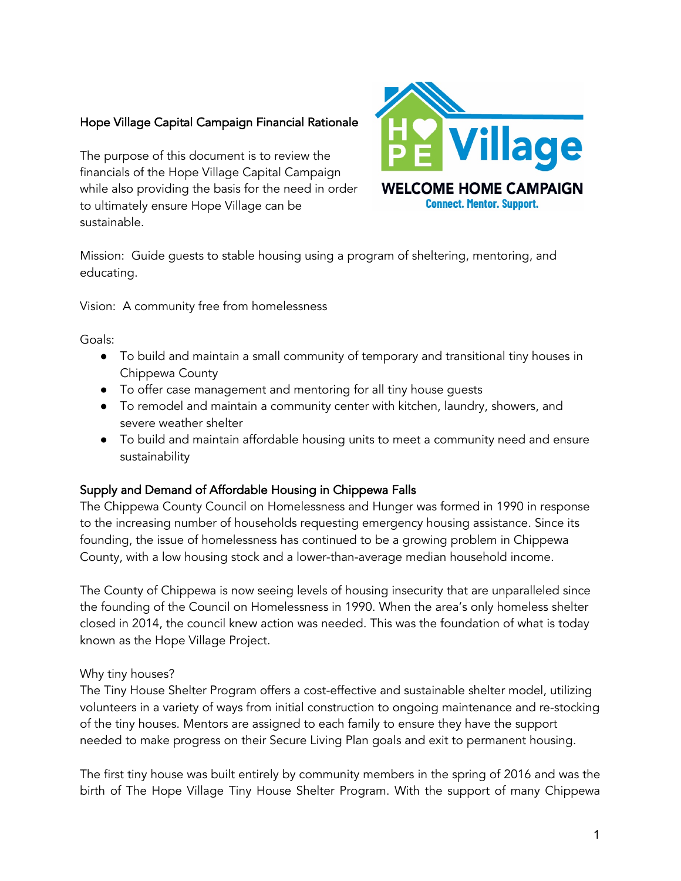## Hope Village Capital Campaign Financial Rationale

The purpose of this document is to review the financials of the Hope Village Capital Campaign while also providing the basis for the need in order to ultimately ensure Hope Village can be sustainable.



Mission: Guide guests to stable housing using a program of sheltering, mentoring, and educating.

Vision: A community free from homelessness

Goals:

- To build and maintain a small community of temporary and transitional tiny houses in Chippewa County
- To offer case management and mentoring for all tiny house guests
- To remodel and maintain a community center with kitchen, laundry, showers, and severe weather shelter
- To build and maintain affordable housing units to meet a community need and ensure sustainability

## Supply and Demand of Affordable Housing in Chippewa Falls

The Chippewa County Council on Homelessness and Hunger was formed in 1990 in response to the increasing number of households requesting emergency housing assistance. Since its founding, the issue of homelessness has continued to be a growing problem in Chippewa County, with a low housing stock and a lower-than-average median household income.

The County of Chippewa is now seeing levels of housing insecurity that are unparalleled since the founding of the Council on Homelessness in 1990. When the area's only homeless shelter closed in 2014, the council knew action was needed. This was the foundation of what is today known as the Hope Village Project.

Why tiny houses?

The Tiny House Shelter Program offers a cost-effective and sustainable shelter model, utilizing volunteers in a variety of ways from initial construction to ongoing maintenance and re-stocking of the tiny houses. Mentors are assigned to each family to ensure they have the support needed to make progress on their Secure Living Plan goals and exit to permanent housing.

The first tiny house was built entirely by community members in the spring of 2016 and was the birth of The Hope Village Tiny House Shelter Program. With the support of many Chippewa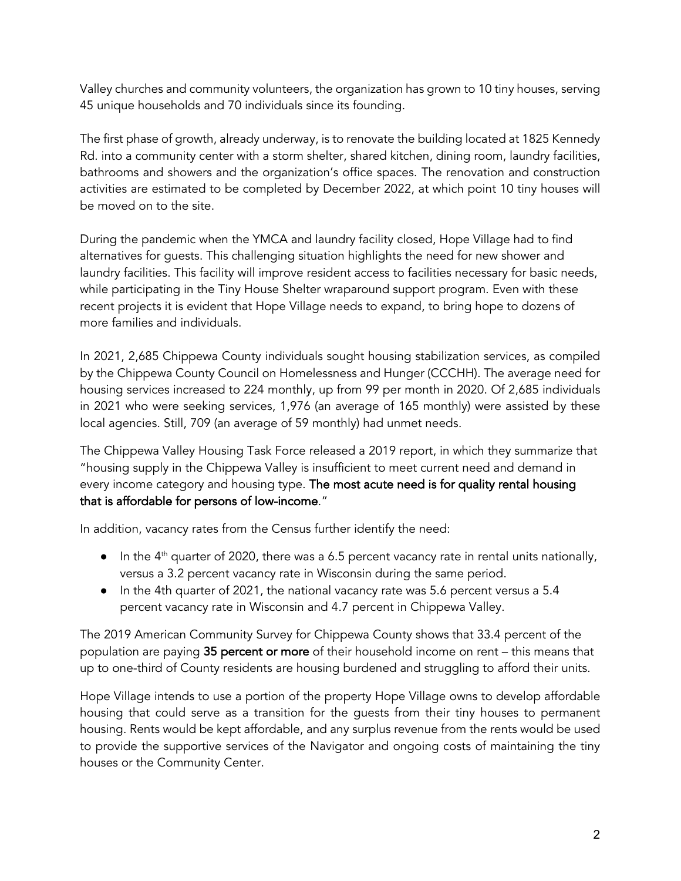Valley churches and community volunteers, the organization has grown to 10 tiny houses, serving 45 unique households and 70 individuals since its founding.

The first phase of growth, already underway, is to renovate the building located at 1825 Kennedy Rd. into a community center with a storm shelter, shared kitchen, dining room, laundry facilities, bathrooms and showers and the organization's office spaces. The renovation and construction activities are estimated to be completed by December 2022, at which point 10 tiny houses will be moved on to the site.

During the pandemic when the YMCA and laundry facility closed, Hope Village had to find alternatives for guests. This challenging situation highlights the need for new shower and laundry facilities. This facility will improve resident access to facilities necessary for basic needs, while participating in the Tiny House Shelter wraparound support program. Even with these recent projects it is evident that Hope Village needs to expand, to bring hope to dozens of more families and individuals.

In 2021, 2,685 Chippewa County individuals sought housing stabilization services, as compiled by the Chippewa County Council on Homelessness and Hunger (CCCHH). The average need for housing services increased to 224 monthly, up from 99 per month in 2020. Of 2,685 individuals in 2021 who were seeking services, 1,976 (an average of 165 monthly) were assisted by these local agencies. Still, 709 (an average of 59 monthly) had unmet needs.

The Chippewa Valley Housing Task Force released a 2019 report, in which they summarize that "housing supply in the Chippewa Valley is insufficient to meet current need and demand in every income category and housing type. The most acute need is for quality rental housing that is affordable for persons of low-income."

In addition, vacancy rates from the Census further identify the need:

- $\bullet$  In the 4<sup>th</sup> quarter of 2020, there was a 6.5 percent vacancy rate in rental units nationally, versus a 3.2 percent vacancy rate in Wisconsin during the same period.
- In the 4th quarter of 2021, the national vacancy rate was 5.6 percent versus a 5.4 percent vacancy rate in Wisconsin and 4.7 percent in Chippewa Valley.

The 2019 American Community Survey for Chippewa County shows that 33.4 percent of the population are paying 35 percent or more of their household income on rent – this means that up to one-third of County residents are housing burdened and struggling to afford their units.

Hope Village intends to use a portion of the property Hope Village owns to develop affordable housing that could serve as a transition for the guests from their tiny houses to permanent housing. Rents would be kept affordable, and any surplus revenue from the rents would be used to provide the supportive services of the Navigator and ongoing costs of maintaining the tiny houses or the Community Center.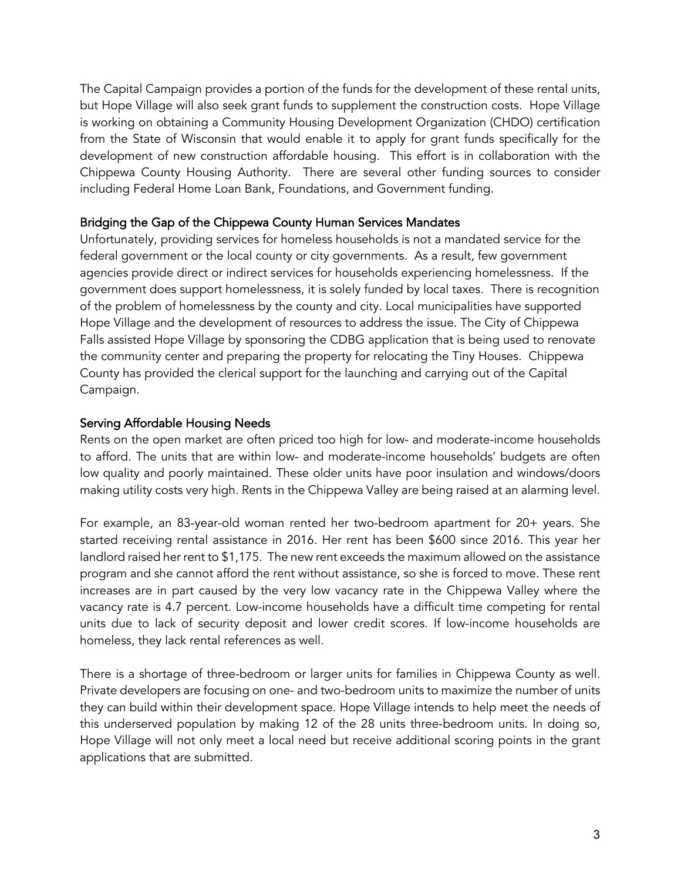The Capital Campaign provides a portion of the funds for the development of these rental units, but Hope Village will also seek grant funds to supplement the construction costs. Hope Village is working on obtaining a Community Housing Development Organization (CHDO) certification from the State of Wisconsin that would enable it to apply for grant funds specifically for the development of new construction affordable housing. This effort is in collaboration with the Chippewa County Housing Authority. There are several other funding sources to consider including Federal Home Loan Bank, Foundations, and Government funding.

#### Bridging the Gap of the Chippewa County Human Services Mandates

Unfortunately, providing services for homeless households is not a mandated service for the federal government or the local county or city governments. As a result, few government agencies provide direct or indirect services for households experiencing homelessness. If the government does support homelessness, it is solely funded by local taxes. There is recognition of the problem of homelessness by the county and city. Local municipalities have supported Hope Village and the development of resources to address the issue. The City of Chippewa Falls assisted Hope Village by sponsoring the CDBG application that is being used to renovate the community center and preparing the property for relocating the Tiny Houses. Chippewa County has provided the clerical support for the launching and carrying out of the Capital Campaign.

#### Serving Affordable Housing Needs

Rents on the open market are often priced too high for low- and moderate-income households to afford. The units that are within low- and moderate-income households' budgets are often low quality and poorly maintained. These older units have poor insulation and windows/doors making utility costs very high. Rents in the Chippewa Valley are being raised at an alarming level.

For example, an 83-year-old woman rented her two-bedroom apartment for 20+ years. She started receiving rental assistance in 2016. Her rent has been \$600 since 2016. This year her landlord raised her rent to \$1,175. The new rent exceeds the maximum allowed on the assistance program and she cannot afford the rent without assistance, so she is forced to move. These rent increases are in part caused by the very low vacancy rate in the Chippewa Valley where the vacancy rate is 4.7 percent. Low-income households have a difficult time competing for rental units due to lack of security deposit and lower credit scores. If low-income households are homeless, they lack rental references as well.

There is a shortage of three-bedroom or larger units for families in Chippewa County as well. Private developers are focusing on one- and two-bedroom units to maximize the number of units they can build within their development space. Hope Village intends to help meet the needs of this underserved population by making 12 of the 28 units three-bedroom units. In doing so, Hope Village will not only meet a local need but receive additional scoring points in the grant applications that are submitted.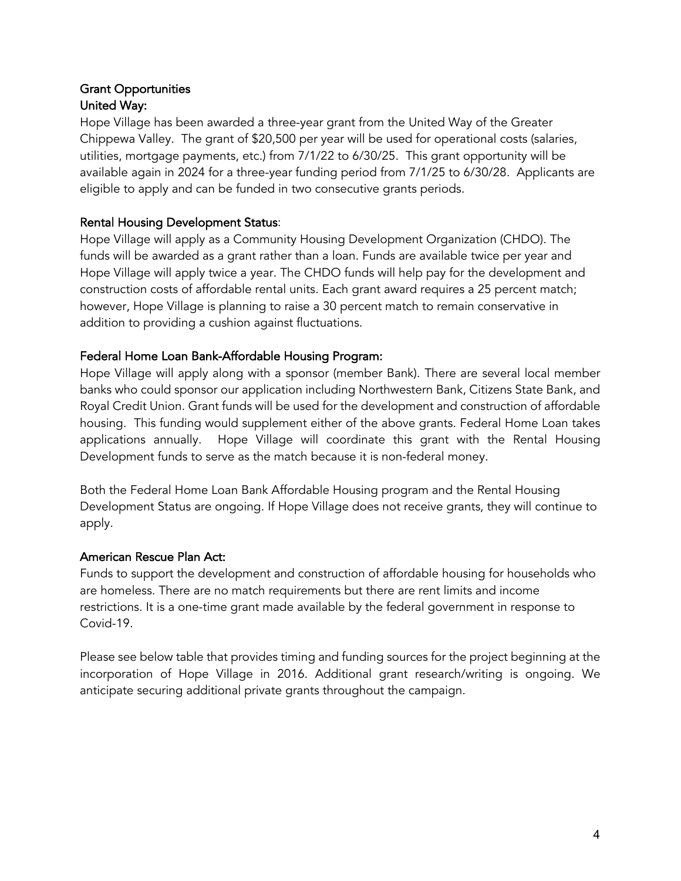### Grant Opportunities United Way:

Hope Village has been awarded a three-year grant from the United Way of the Greater Chippewa Valley. The grant of \$20,500 per year will be used for operational costs (salaries, utilities, mortgage payments, etc.) from 7/1/22 to 6/30/25. This grant opportunity will be available again in 2024 for a three-year funding period from 7/1/25 to 6/30/28. Applicants are eligible to apply and can be funded in two consecutive grants periods.

## Rental Housing Development Status:

Hope Village will apply as a Community Housing Development Organization (CHDO). The funds will be awarded as a grant rather than a loan. Funds are available twice per year and Hope Village will apply twice a year. The CHDO funds will help pay for the development and construction costs of affordable rental units. Each grant award requires a 25 percent match; however, Hope Village is planning to raise a 30 percent match to remain conservative in addition to providing a cushion against fluctuations.

#### Federal Home Loan Bank-Affordable Housing Program:

Hope Village will apply along with a sponsor (member Bank). There are several local member banks who could sponsor our application including Northwestern Bank, Citizens State Bank, and Royal Credit Union. Grant funds will be used for the development and construction of affordable housing. This funding would supplement either of the above grants. Federal Home Loan takes applications annually. Hope Village will coordinate this grant with the Rental Housing Development funds to serve as the match because it is non-federal money.

Both the Federal Home Loan Bank Affordable Housing program and the Rental Housing Development Status are ongoing. If Hope Village does not receive grants, they will continue to apply.

## American Rescue Plan Act:

Funds to support the development and construction of affordable housing for households who are homeless. There are no match requirements but there are rent limits and income restrictions. It is a one-time grant made available by the federal government in response to Covid-19.

Please see below table that provides timing and funding sources for the project beginning at the incorporation of Hope Village in 2016. Additional grant research/writing is ongoing. We anticipate securing additional private grants throughout the campaign.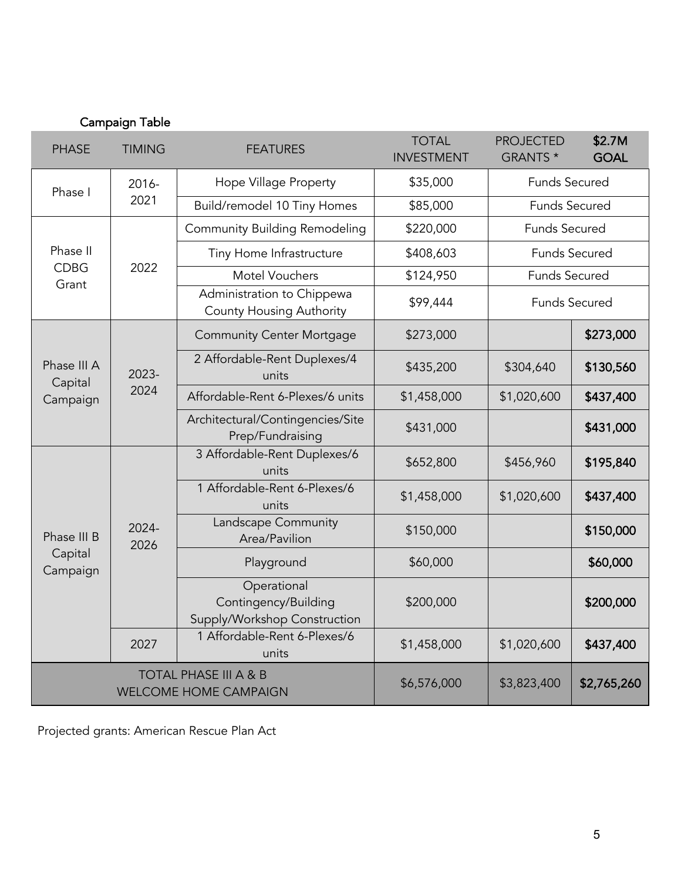| <b>PHASE</b>           | <b>TIMING</b>                                 | <b>FEATURES</b>                                                     | <b>TOTAL</b><br><b>INVESTMENT</b> | <b>PROJECTED</b><br>GRANTS * | \$2.7M<br><b>GOAL</b> |
|------------------------|-----------------------------------------------|---------------------------------------------------------------------|-----------------------------------|------------------------------|-----------------------|
| Phase I                | 2016-                                         | Hope Village Property                                               | \$35,000                          | <b>Funds Secured</b>         |                       |
|                        | 2021                                          | Build/remodel 10 Tiny Homes                                         | \$85,000                          | <b>Funds Secured</b>         |                       |
|                        |                                               | <b>Community Building Remodeling</b>                                | \$220,000                         | <b>Funds Secured</b>         |                       |
| Phase II               |                                               | Tiny Home Infrastructure                                            | \$408,603                         | <b>Funds Secured</b>         |                       |
| <b>CDBG</b><br>Grant   | 2022                                          | <b>Motel Vouchers</b>                                               | \$124,950                         | <b>Funds Secured</b>         |                       |
|                        |                                               | Administration to Chippewa<br><b>County Housing Authority</b>       | \$99,444                          |                              | <b>Funds Secured</b>  |
|                        |                                               | <b>Community Center Mortgage</b>                                    | \$273,000                         |                              | \$273,000             |
| Phase III A<br>Capital | 2023-<br>2024                                 | 2 Affordable-Rent Duplexes/4<br>units                               | \$435,200                         | \$304,640                    | \$130,560             |
| Campaign               |                                               | Affordable-Rent 6-Plexes/6 units                                    | \$1,458,000                       | \$1,020,600                  | \$437,400             |
|                        |                                               | Architectural/Contingencies/Site<br>Prep/Fundraising                | \$431,000                         |                              | \$431,000             |
|                        | $2024 -$<br>2026                              | 3 Affordable-Rent Duplexes/6<br>units                               | \$652,800                         | \$456,960                    | \$195,840             |
|                        |                                               | 1 Affordable-Rent 6-Plexes/6<br>units                               | \$1,458,000                       | \$1,020,600                  | \$437,400             |
| Phase III B            |                                               | Landscape Community<br>Area/Pavilion                                | \$150,000                         |                              | \$150,000             |
| Capital<br>Campaign    |                                               | Playground                                                          | \$60,000                          |                              | \$60,000              |
|                        |                                               | Operational<br>Contingency/Building<br>Supply/Workshop Construction | \$200,000                         |                              | \$200,000             |
|                        | 1 Affordable-Rent 6-Plexes/6<br>2027<br>units |                                                                     | \$1,458,000                       | \$1,020,600                  | \$437,400             |
|                        |                                               | <b>TOTAL PHASE III A &amp; B</b><br><b>WELCOME HOME CAMPAIGN</b>    | \$6,576,000                       | \$3,823,400                  | \$2,765,260           |

Projected grants: American Rescue Plan Act

Campaign Table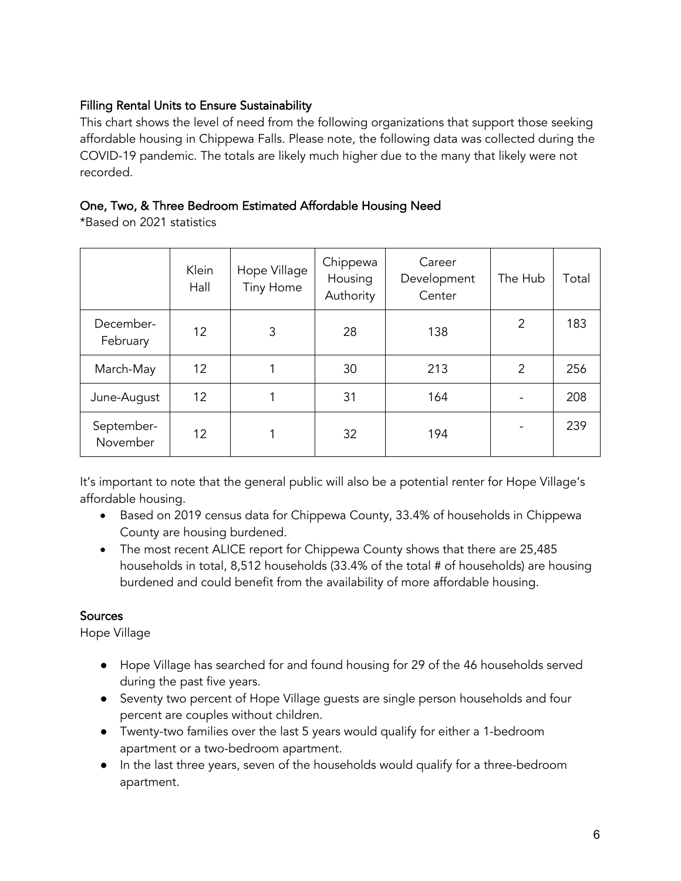## Filling Rental Units to Ensure Sustainability

This chart shows the level of need from the following organizations that support those seeking affordable housing in Chippewa Falls. Please note, the following data was collected during the COVID-19 pandemic. The totals are likely much higher due to the many that likely were not recorded.

## One, Two, & Three Bedroom Estimated Affordable Housing Need

\*Based on 2021 statistics

|                        | Klein<br>Hall | Hope Village<br><b>Tiny Home</b> | Chippewa<br>Housing<br>Authority | Career<br>Development<br>Center | The Hub        | Total |
|------------------------|---------------|----------------------------------|----------------------------------|---------------------------------|----------------|-------|
| December-<br>February  | 12            | 3                                | 28                               | 138                             | $\overline{2}$ | 183   |
| March-May              | 12            |                                  | 30                               | 213                             | $\overline{2}$ | 256   |
| June-August            | 12            |                                  | 31                               | 164                             |                | 208   |
| September-<br>November | 12            |                                  | 32                               | 194                             |                | 239   |

It's important to note that the general public will also be a potential renter for Hope Village's affordable housing.

- Based on 2019 census data for Chippewa County, 33.4% of households in Chippewa County are housing burdened.
- The most recent ALICE report for Chippewa County shows that there are 25,485 households in total, 8,512 households (33.4% of the total # of households) are housing burdened and could benefit from the availability of more affordable housing.

## **Sources**

Hope Village

- Hope Village has searched for and found housing for 29 of the 46 households served during the past five years.
- Seventy two percent of Hope Village guests are single person households and four percent are couples without children.
- Twenty-two families over the last 5 years would qualify for either a 1-bedroom apartment or a two-bedroom apartment.
- In the last three years, seven of the households would qualify for a three-bedroom apartment.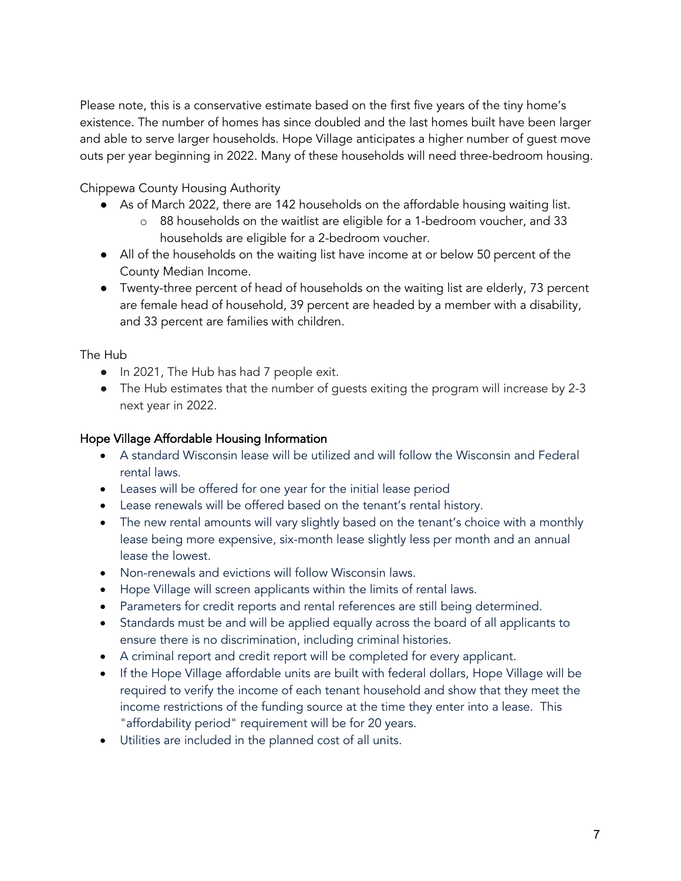Please note, this is a conservative estimate based on the first five years of the tiny home's existence. The number of homes has since doubled and the last homes built have been larger and able to serve larger households. Hope Village anticipates a higher number of guest move outs per year beginning in 2022. Many of these households will need three-bedroom housing.

Chippewa County Housing Authority

- As of March 2022, there are 142 households on the affordable housing waiting list.
	- o 88 households on the waitlist are eligible for a 1-bedroom voucher, and 33 households are eligible for a 2-bedroom voucher.
- All of the households on the waiting list have income at or below 50 percent of the County Median Income.
- Twenty-three percent of head of households on the waiting list are elderly, 73 percent are female head of household, 39 percent are headed by a member with a disability, and 33 percent are families with children.

The Hub

- In 2021, The Hub has had 7 people exit.
- The Hub estimates that the number of guests exiting the program will increase by 2-3 next year in 2022.

#### Hope Village Affordable Housing Information

- A standard Wisconsin lease will be utilized and will follow the Wisconsin and Federal rental laws.
- Leases will be offered for one year for the initial lease period
- Lease renewals will be offered based on the tenant's rental history.
- The new rental amounts will vary slightly based on the tenant's choice with a monthly lease being more expensive, six-month lease slightly less per month and an annual lease the lowest.
- Non-renewals and evictions will follow Wisconsin laws.
- Hope Village will screen applicants within the limits of rental laws.
- Parameters for credit reports and rental references are still being determined.
- Standards must be and will be applied equally across the board of all applicants to ensure there is no discrimination, including criminal histories.
- A criminal report and credit report will be completed for every applicant.
- If the Hope Village affordable units are built with federal dollars, Hope Village will be required to verify the income of each tenant household and show that they meet the income restrictions of the funding source at the time they enter into a lease. This "affordability period" requirement will be for 20 years.
- Utilities are included in the planned cost of all units.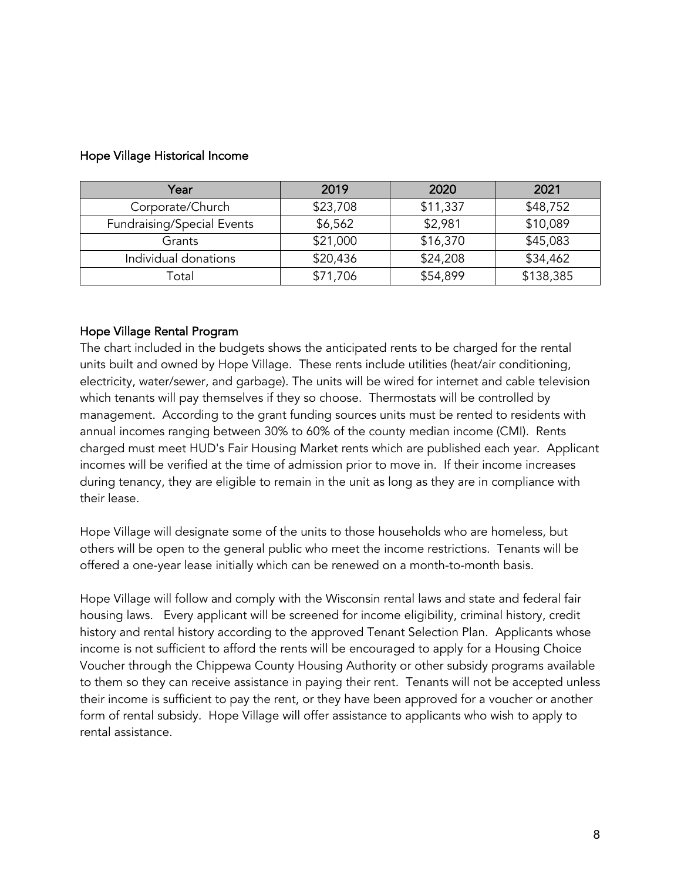| Year                              | 2019     | 2020     | 2021      |
|-----------------------------------|----------|----------|-----------|
| Corporate/Church                  | \$23,708 | \$11,337 | \$48,752  |
| <b>Fundraising/Special Events</b> | \$6,562  | \$2,981  | \$10,089  |
| Grants                            | \$21,000 | \$16,370 | \$45,083  |
| Individual donations              | \$20,436 | \$24,208 | \$34,462  |
| Гоtal                             | \$71,706 | \$54,899 | \$138,385 |

#### Hope Village Historical Income

#### Hope Village Rental Program

The chart included in the budgets shows the anticipated rents to be charged for the rental units built and owned by Hope Village. These rents include utilities (heat/air conditioning, electricity, water/sewer, and garbage). The units will be wired for internet and cable television which tenants will pay themselves if they so choose. Thermostats will be controlled by management. According to the grant funding sources units must be rented to residents with annual incomes ranging between 30% to 60% of the county median income (CMI). Rents charged must meet HUD's Fair Housing Market rents which are published each year. Applicant incomes will be verified at the time of admission prior to move in. If their income increases during tenancy, they are eligible to remain in the unit as long as they are in compliance with their lease.

Hope Village will designate some of the units to those households who are homeless, but others will be open to the general public who meet the income restrictions. Tenants will be offered a one-year lease initially which can be renewed on a month-to-month basis.

Hope Village will follow and comply with the Wisconsin rental laws and state and federal fair housing laws. Every applicant will be screened for income eligibility, criminal history, credit history and rental history according to the approved Tenant Selection Plan. Applicants whose income is not sufficient to afford the rents will be encouraged to apply for a Housing Choice Voucher through the Chippewa County Housing Authority or other subsidy programs available to them so they can receive assistance in paying their rent. Tenants will not be accepted unless their income is sufficient to pay the rent, or they have been approved for a voucher or another form of rental subsidy. Hope Village will offer assistance to applicants who wish to apply to rental assistance.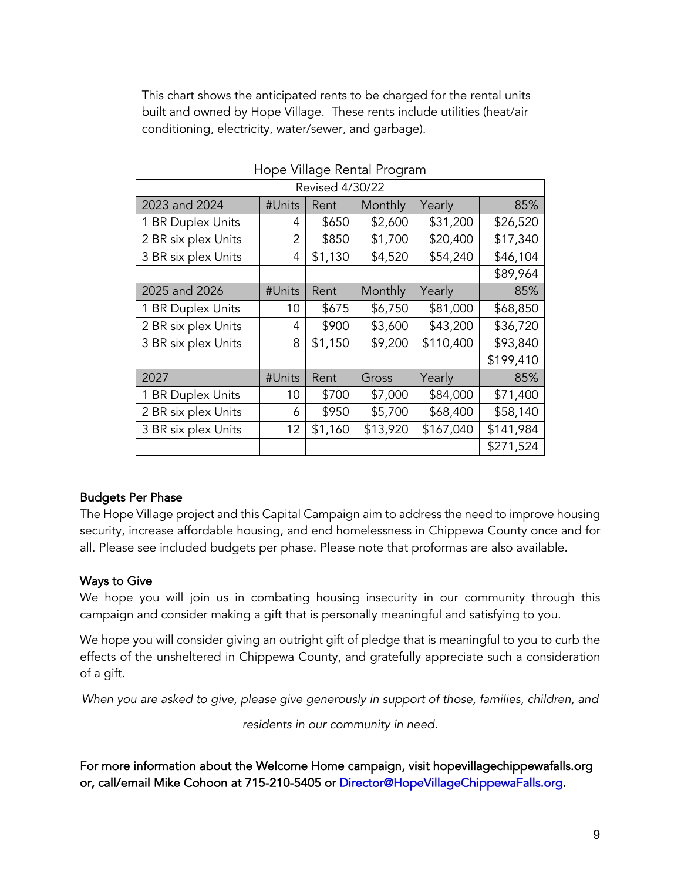This chart shows the anticipated rents to be charged for the rental units built and owned by Hope Village. These rents include utilities (heat/air conditioning, electricity, water/sewer, and garbage).

| Revised 4/30/22     |        |         |          |           |           |  |  |
|---------------------|--------|---------|----------|-----------|-----------|--|--|
| 2023 and 2024       | #Units | Rent    | Monthly  | Yearly    | 85%       |  |  |
| 1 BR Duplex Units   | 4      | \$650   | \$2,600  | \$31,200  | \$26,520  |  |  |
| 2 BR six plex Units | 2      | \$850   | \$1,700  | \$20,400  | \$17,340  |  |  |
| 3 BR six plex Units | 4      | \$1,130 | \$4,520  | \$54,240  | \$46,104  |  |  |
|                     |        |         |          |           | \$89,964  |  |  |
| 2025 and 2026       | #Units | Rent    | Monthly  | Yearly    | 85%       |  |  |
| 1 BR Duplex Units   | 10     | \$675   | \$6,750  | \$81,000  | \$68,850  |  |  |
| 2 BR six plex Units | 4      | \$900   | \$3,600  | \$43,200  | \$36,720  |  |  |
| 3 BR six plex Units | 8      | \$1,150 | \$9,200  | \$110,400 | \$93,840  |  |  |
|                     |        |         |          |           | \$199,410 |  |  |
| 2027                | #Units | Rent    | Gross    | Yearly    | 85%       |  |  |
| 1 BR Duplex Units   | 10     | \$700   | \$7,000  | \$84,000  | \$71,400  |  |  |
| 2 BR six plex Units | 6      | \$950   | \$5,700  | \$68,400  | \$58,140  |  |  |
| 3 BR six plex Units | 12     | \$1,160 | \$13,920 | \$167,040 | \$141,984 |  |  |
|                     |        |         |          |           | \$271,524 |  |  |

#### Hope Village Rental Program

#### Budgets Per Phase

The Hope Village project and this Capital Campaign aim to address the need to improve housing security, increase affordable housing, and end homelessness in Chippewa County once and for all. Please see included budgets per phase. Please note that proformas are also available.

#### Ways to Give

We hope you will join us in combating housing insecurity in our community through this campaign and consider making a gift that is personally meaningful and satisfying to you.

We hope you will consider giving an outright gift of pledge that is meaningful to you to curb the effects of the unsheltered in Chippewa County, and gratefully appreciate such a consideration of a gift.

*When you are asked to give, please give generously in support of those, families, children, and* 

*residents in our community in need.*

For more information about the Welcome Home campaign, visit hopevillagechippewafalls.org or, call/email Mike Cohoon at 715-210-5405 or Director@HopeVillageChippewaFalls.org.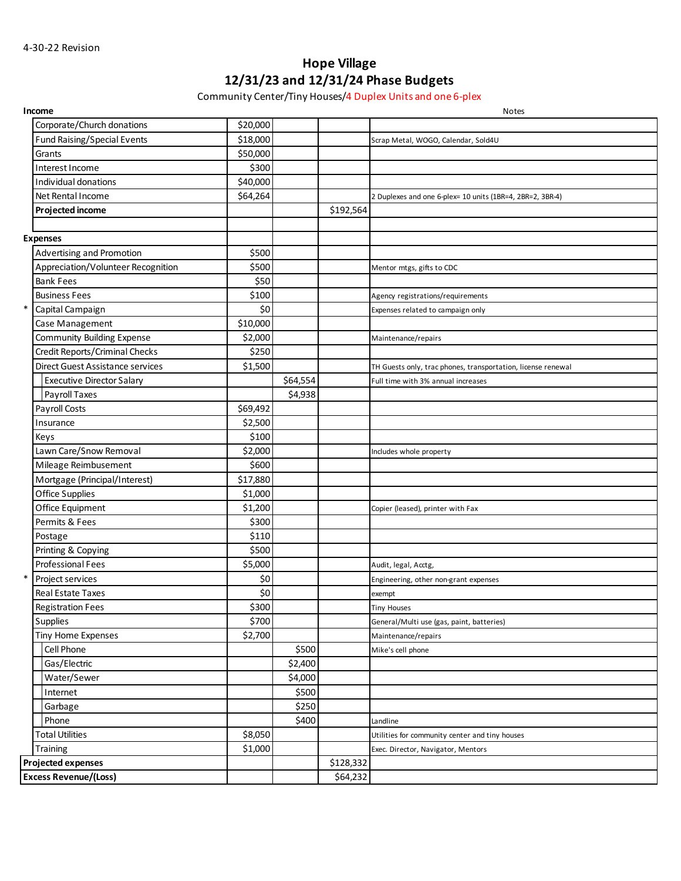# **Hope Village 12/31/23 and 12/31/24 Phase Budgets**

Community Center/Tiny Houses/4 Duplex Units and one 6-plex

|        | Income                             |          |          |           | <b>Notes</b>                                                 |
|--------|------------------------------------|----------|----------|-----------|--------------------------------------------------------------|
|        | Corporate/Church donations         | \$20,000 |          |           |                                                              |
|        | <b>Fund Raising/Special Events</b> | \$18,000 |          |           | Scrap Metal, WOGO, Calendar, Sold4U                          |
|        | Grants                             | \$50,000 |          |           |                                                              |
|        | Interest Income                    | \$300    |          |           |                                                              |
|        | Individual donations               | \$40,000 |          |           |                                                              |
|        | Net Rental Income                  | \$64,264 |          |           | 2 Duplexes and one 6-plex= 10 units (1BR=4, 2BR=2, 3BR-4)    |
|        | Projected income                   |          |          | \$192,564 |                                                              |
|        |                                    |          |          |           |                                                              |
|        | <b>Expenses</b>                    |          |          |           |                                                              |
|        | <b>Advertising and Promotion</b>   | \$500    |          |           |                                                              |
|        | Appreciation/Volunteer Recognition | \$500    |          |           | Mentor mtgs, gifts to CDC                                    |
|        | <b>Bank Fees</b>                   | \$50     |          |           |                                                              |
|        | <b>Business Fees</b>               | \$100    |          |           | Agency registrations/requirements                            |
| $\ast$ | Capital Campaign                   | \$0      |          |           | Expenses related to campaign only                            |
|        | Case Management                    | \$10,000 |          |           |                                                              |
|        | <b>Community Building Expense</b>  | \$2,000  |          |           | Maintenance/repairs                                          |
|        | Credit Reports/Criminal Checks     | \$250    |          |           |                                                              |
|        | Direct Guest Assistance services   | \$1,500  |          |           | TH Guests only, trac phones, transportation, license renewal |
|        | <b>Executive Director Salary</b>   |          | \$64,554 |           | Full time with 3% annual increases                           |
|        | Payroll Taxes                      |          | \$4,938  |           |                                                              |
|        | Payroll Costs                      | \$69,492 |          |           |                                                              |
|        | Insurance                          | \$2,500  |          |           |                                                              |
|        | Keys                               | \$100    |          |           |                                                              |
|        | Lawn Care/Snow Removal             | \$2,000  |          |           | Includes whole property                                      |
|        | Mileage Reimbusement               | \$600    |          |           |                                                              |
|        | Mortgage (Principal/Interest)      | \$17,880 |          |           |                                                              |
|        | Office Supplies                    | \$1,000  |          |           |                                                              |
|        | Office Equipment                   | \$1,200  |          |           | Copier (leased), printer with Fax                            |
|        | Permits & Fees                     | \$300    |          |           |                                                              |
|        | Postage                            | \$110    |          |           |                                                              |
|        | Printing & Copying                 | \$500    |          |           |                                                              |
|        | Professional Fees                  | \$5,000  |          |           | Audit, legal, Acctg,                                         |
| $\ast$ | Project services                   | \$0      |          |           | Engineering, other non-grant expenses                        |
|        | <b>Real Estate Taxes</b>           | \$0      |          |           | exempt                                                       |
|        | <b>Registration Fees</b>           | \$300    |          |           | <b>Tiny Houses</b>                                           |
|        | Supplies                           | \$700    |          |           | General/Multi use (gas, paint, batteries)                    |
|        | Tiny Home Expenses                 | \$2,700  |          |           | Maintenance/repairs                                          |
|        | Cell Phone                         |          | \$500    |           | Mike's cell phone                                            |
|        | Gas/Electric                       |          | \$2,400  |           |                                                              |
|        | Water/Sewer                        |          | \$4,000  |           |                                                              |
|        | Internet                           |          | \$500    |           |                                                              |
|        | Garbage                            |          | \$250    |           |                                                              |
|        | Phone                              |          | \$400    |           | Landline                                                     |
|        | <b>Total Utilities</b>             | \$8,050  |          |           | Utilities for community center and tiny houses               |
|        | Training                           | \$1,000  |          |           | Exec. Director, Navigator, Mentors                           |
|        | <b>Projected expenses</b>          |          |          | \$128,332 |                                                              |
|        | <b>Excess Revenue/(Loss)</b>       |          |          | \$64,232  |                                                              |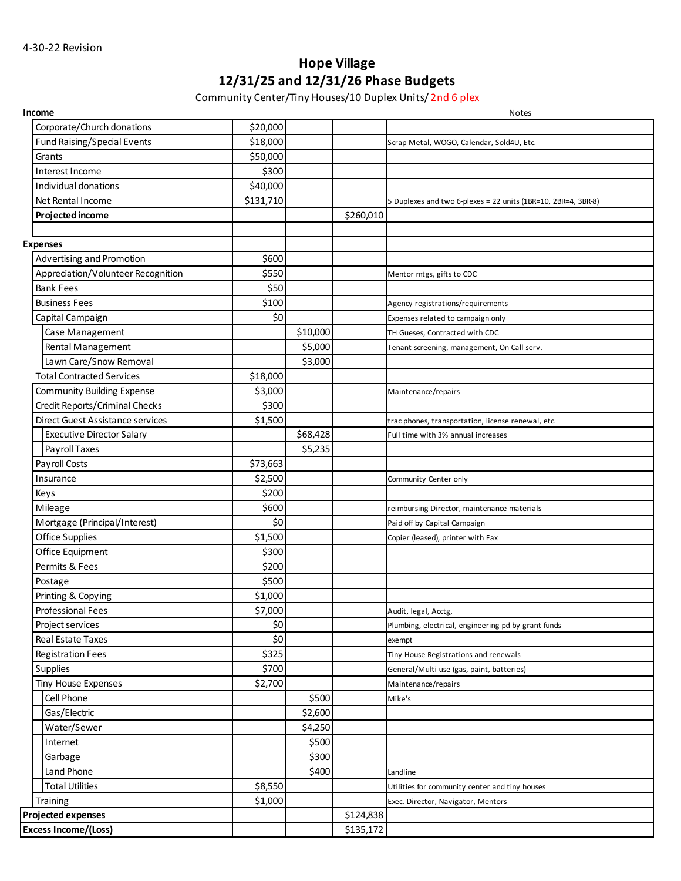# **Hope Village 12/31/25 and 12/31/26 Phase Budgets**

Community Center/Tiny Houses/10 Duplex Units/ 2nd 6 plex

|                             | Income                             |           |          |           | <b>Notes</b>                                                  |
|-----------------------------|------------------------------------|-----------|----------|-----------|---------------------------------------------------------------|
|                             | Corporate/Church donations         | \$20,000  |          |           |                                                               |
|                             | <b>Fund Raising/Special Events</b> | \$18,000  |          |           | Scrap Metal, WOGO, Calendar, Sold4U, Etc.                     |
|                             | Grants                             | \$50,000  |          |           |                                                               |
|                             | Interest Income                    | \$300     |          |           |                                                               |
|                             | Individual donations               | \$40,000  |          |           |                                                               |
|                             | Net Rental Income                  | \$131,710 |          |           | 5 Duplexes and two 6-plexes = 22 units (1BR=10, 2BR=4, 3BR-8) |
|                             | Projected income                   |           |          | \$260,010 |                                                               |
|                             |                                    |           |          |           |                                                               |
|                             | <b>Expenses</b>                    |           |          |           |                                                               |
|                             | Advertising and Promotion          | \$600     |          |           |                                                               |
|                             | Appreciation/Volunteer Recognition | \$550     |          |           | Mentor mtgs, gifts to CDC                                     |
|                             | <b>Bank Fees</b>                   | \$50      |          |           |                                                               |
|                             | <b>Business Fees</b>               | \$100     |          |           | Agency registrations/requirements                             |
|                             | Capital Campaign                   | \$0       |          |           | Expenses related to campaign only                             |
|                             | Case Management                    |           | \$10,000 |           | TH Gueses, Contracted with CDC                                |
|                             | Rental Management                  |           | \$5,000  |           | Tenant screening, management, On Call serv.                   |
|                             | Lawn Care/Snow Removal             |           | \$3,000  |           |                                                               |
|                             | <b>Total Contracted Services</b>   | \$18,000  |          |           |                                                               |
|                             | <b>Community Building Expense</b>  | \$3,000   |          |           | Maintenance/repairs                                           |
|                             | Credit Reports/Criminal Checks     | \$300     |          |           |                                                               |
|                             | Direct Guest Assistance services   | \$1,500   |          |           | trac phones, transportation, license renewal, etc.            |
|                             | <b>Executive Director Salary</b>   |           | \$68,428 |           | Full time with 3% annual increases                            |
|                             | Payroll Taxes                      |           | \$5,235  |           |                                                               |
|                             | Payroll Costs                      | \$73,663  |          |           |                                                               |
|                             | Insurance                          | \$2,500   |          |           | Community Center only                                         |
|                             | Keys                               | \$200     |          |           |                                                               |
|                             | Mileage                            | \$600     |          |           | reimbursing Director, maintenance materials                   |
|                             | Mortgage (Principal/Interest)      | \$0       |          |           | Paid off by Capital Campaign                                  |
|                             | Office Supplies                    | \$1,500   |          |           | Copier (leased), printer with Fax                             |
|                             | Office Equipment                   | \$300     |          |           |                                                               |
|                             | Permits & Fees                     | \$200     |          |           |                                                               |
|                             | Postage                            | \$500     |          |           |                                                               |
|                             | Printing & Copying                 | \$1,000   |          |           |                                                               |
|                             | Professional Fees                  | \$7,000   |          |           | Audit, legal, Acctg,                                          |
|                             | Project services                   | \$0       |          |           | Plumbing, electrical, engineering-pd by grant funds           |
|                             | Real Estate Taxes                  | \$0       |          |           | exempt                                                        |
|                             | <b>Registration Fees</b>           | \$325     |          |           | Tiny House Registrations and renewals                         |
|                             | <b>Supplies</b>                    | \$700     |          |           | General/Multi use (gas, paint, batteries)                     |
|                             | <b>Tiny House Expenses</b>         | \$2,700   |          |           | Maintenance/repairs                                           |
|                             | Cell Phone                         |           | \$500    |           | Mike's                                                        |
|                             | Gas/Electric                       |           | \$2,600  |           |                                                               |
|                             | Water/Sewer                        |           | \$4,250  |           |                                                               |
|                             | Internet                           |           | \$500    |           |                                                               |
|                             | Garbage                            |           | \$300    |           |                                                               |
|                             | Land Phone                         |           | \$400    |           | Landline                                                      |
|                             | <b>Total Utilities</b>             | \$8,550   |          |           | Utilities for community center and tiny houses                |
|                             | Training                           | \$1,000   |          |           | Exec. Director, Navigator, Mentors                            |
|                             | Projected expenses                 |           |          | \$124,838 |                                                               |
| <b>Excess Income/(Loss)</b> |                                    |           |          | \$135,172 |                                                               |